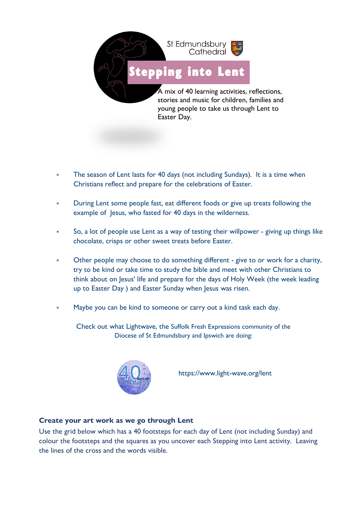

- The season of Lent lasts for 40 days (not including Sundays). It is a time when Christians reflect and prepare for the celebrations of Easter.
- During Lent some people fast, eat different foods or give up treats following the example of Jesus, who fasted for 40 days in the wilderness.
- So, a lot of people use Lent as a way of testing their willpower giving up things like chocolate, crisps or other sweet treats before Easter.
- Other people may choose to do something different give to or work for a charity, try to be kind or take time to study the bible and meet with other Christians to think about on Jesus' life and prepare for the days of Holy Week (the week leading up to Easter Day ) and Easter Sunday when Jesus was risen.
- Maybe you can be kind to someone or carry out a kind task each day.

Check out what Lightwave, the Suffolk Fresh Expressions community of the Diocese of St Edmundsbury and Ipswich are doing:



https://www.light-wave.org/lent

## **Create your art work as we go through Lent**

Use the grid below which has a 40 footsteps for each day of Lent (not including Sunday) and colour the footsteps and the squares as you uncover each Stepping into Lent activity. Leaving the lines of the cross and the words visible.